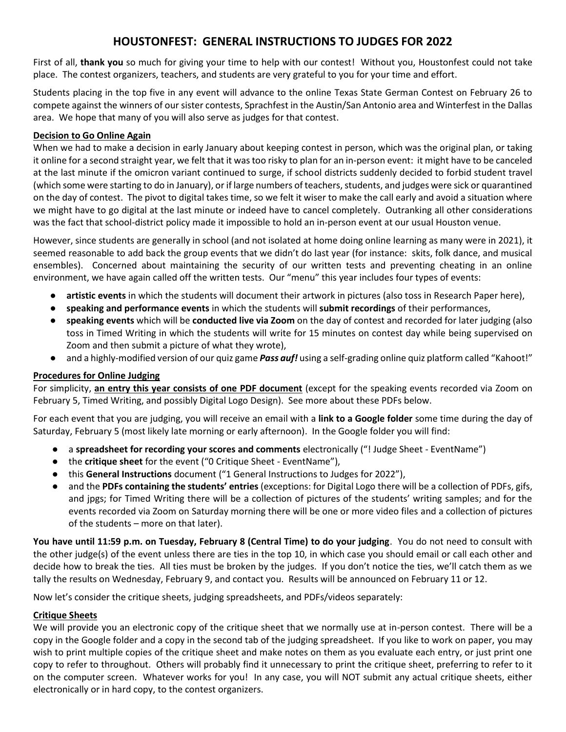## **HOUSTONFEST: GENERAL INSTRUCTIONS TO JUDGES FOR 2022**

First of all, **thank you** so much for giving your time to help with our contest! Without you, Houstonfest could not take place. The contest organizers, teachers, and students are very grateful to you for your time and effort.

Students placing in the top five in any event will advance to the online Texas State German Contest on February 26 to compete against the winners of our sister contests, Sprachfest in the Austin/San Antonio area and Winterfest in the Dallas area. We hope that many of you will also serve as judges for that contest.

#### **Decision to Go Online Again**

When we had to make a decision in early January about keeping contest in person, which was the original plan, or taking it online for a second straight year, we felt that it was too risky to plan for an in-person event: it might have to be canceled at the last minute if the omicron variant continued to surge, if school districts suddenly decided to forbid student travel (which some were starting to do in January), or if large numbers of teachers, students, and judges were sick or quarantined on the day of contest. The pivot to digital takes time, so we felt it wiser to make the call early and avoid a situation where we might have to go digital at the last minute or indeed have to cancel completely. Outranking all other considerations was the fact that school-district policy made it impossible to hold an in-person event at our usual Houston venue.

However, since students are generally in school (and not isolated at home doing online learning as many were in 2021), it seemed reasonable to add back the group events that we didn't do last year (for instance: skits, folk dance, and musical ensembles). Concerned about maintaining the security of our written tests and preventing cheating in an online environment, we have again called off the written tests. Our "menu" this year includes four types of events:

- artistic events in which the students will document their artwork in pictures (also toss in Research Paper here),
- **speaking and performance events** in which the students will **submit recordings** of their performances,
- **speaking events** which will be **conducted live via Zoom** on the day of contest and recorded for later judging (also toss in Timed Writing in which the students will write for 15 minutes on contest day while being supervised on Zoom and then submit a picture of what they wrote),
- and a highly-modified version of our quiz game *Pass auf!* using a self-grading online quiz platform called "Kahoot!"

### **Procedures for Online Judging**

For simplicity, **an entry this year consists of one PDF document** (except for the speaking events recorded via Zoom on February 5, Timed Writing, and possibly Digital Logo Design). See more about these PDFs below.

For each event that you are judging, you will receive an email with a **link to a Google folder** some time during the day of Saturday, February 5 (most likely late morning or early afternoon). In the Google folder you will find:

- a **spreadsheet for recording your scores and comments** electronically ("! Judge Sheet EventName")
- the **critique sheet** for the event ("0 Critique Sheet EventName"),
- this **General Instructions** document ("1 General Instructions to Judges for 2022"),
- and the **PDFs containing the students' entries** (exceptions: for Digital Logo there will be a collection of PDFs, gifs, and jpgs; for Timed Writing there will be a collection of pictures of the students' writing samples; and for the events recorded via Zoom on Saturday morning there will be one or more video files and a collection of pictures of the students – more on that later).

**You have until 11:59 p.m. on Tuesday, February 8 (Central Time) to do your judging**. You do not need to consult with the other judge(s) of the event unless there are ties in the top 10, in which case you should email or call each other and decide how to break the ties. All ties must be broken by the judges. If you don't notice the ties, we'll catch them as we tally the results on Wednesday, February 9, and contact you. Results will be announced on February 11 or 12.

Now let's consider the critique sheets, judging spreadsheets, and PDFs/videos separately:

### **Critique Sheets**

We will provide you an electronic copy of the critique sheet that we normally use at in-person contest. There will be a copy in the Google folder and a copy in the second tab of the judging spreadsheet. If you like to work on paper, you may wish to print multiple copies of the critique sheet and make notes on them as you evaluate each entry, or just print one copy to refer to throughout. Others will probably find it unnecessary to print the critique sheet, preferring to refer to it on the computer screen. Whatever works for you! In any case, you will NOT submit any actual critique sheets, either electronically or in hard copy, to the contest organizers.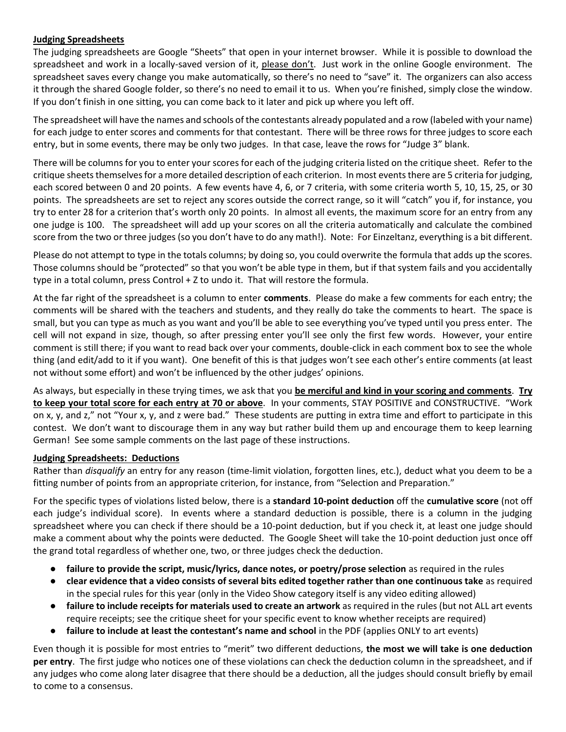### **Judging Spreadsheets**

The judging spreadsheets are Google "Sheets" that open in your internet browser. While it is possible to download the spreadsheet and work in a locally-saved version of it, please don't. Just work in the online Google environment. The spreadsheet saves every change you make automatically, so there's no need to "save" it. The organizers can also access it through the shared Google folder, so there's no need to email it to us. When you're finished, simply close the window. If you don't finish in one sitting, you can come back to it later and pick up where you left off.

The spreadsheet will have the names and schools of the contestants already populated and a row (labeled with your name) for each judge to enter scores and comments for that contestant. There will be three rows for three judges to score each entry, but in some events, there may be only two judges. In that case, leave the rows for "Judge 3" blank.

There will be columns for you to enter your scores for each of the judging criteria listed on the critique sheet. Refer to the critique sheets themselves for a more detailed description of each criterion. In most events there are 5 criteria for judging, each scored between 0 and 20 points. A few events have 4, 6, or 7 criteria, with some criteria worth 5, 10, 15, 25, or 30 points. The spreadsheets are set to reject any scores outside the correct range, so it will "catch" you if, for instance, you try to enter 28 for a criterion that's worth only 20 points. In almost all events, the maximum score for an entry from any one judge is 100. The spreadsheet will add up your scores on all the criteria automatically and calculate the combined score from the two or three judges (so you don't have to do any math!). Note: For Einzeltanz, everything is a bit different.

Please do not attempt to type in the totals columns; by doing so, you could overwrite the formula that adds up the scores. Those columns should be "protected" so that you won't be able type in them, but if that system fails and you accidentally type in a total column, press Control + Z to undo it. That will restore the formula.

At the far right of the spreadsheet is a column to enter **comments**. Please do make a few comments for each entry; the comments will be shared with the teachers and students, and they really do take the comments to heart. The space is small, but you can type as much as you want and you'll be able to see everything you've typed until you press enter. The cell will not expand in size, though, so after pressing enter you'll see only the first few words. However, your entire comment is still there; if you want to read back over your comments, double-click in each comment box to see the whole thing (and edit/add to it if you want). One benefit of this is that judges won't see each other's entire comments (at least not without some effort) and won't be influenced by the other judges' opinions.

As always, but especially in these trying times, we ask that you **be merciful and kind in your scoring and comments**. **Try to keep your total score for each entry at 70 or above**. In your comments, STAY POSITIVE and CONSTRUCTIVE. "Work on x, y, and z," not "Your x, y, and z were bad." These students are putting in extra time and effort to participate in this contest. We don't want to discourage them in any way but rather build them up and encourage them to keep learning German! See some sample comments on the last page of these instructions.

### **Judging Spreadsheets: Deductions**

Rather than *disqualify* an entry for any reason (time-limit violation, forgotten lines, etc.), deduct what you deem to be a fitting number of points from an appropriate criterion, for instance, from "Selection and Preparation."

For the specific types of violations listed below, there is a **standard 10-point deduction** off the **cumulative score** (not off each judge's individual score). In events where a standard deduction is possible, there is a column in the judging spreadsheet where you can check if there should be a 10-point deduction, but if you check it, at least one judge should make a comment about why the points were deducted. The Google Sheet will take the 10-point deduction just once off the grand total regardless of whether one, two, or three judges check the deduction.

- **failure to provide the script, music/lyrics, dance notes, or poetry/prose selection** as required in the rules
- **clear evidence that a video consists of several bits edited together rather than one continuous take** as required in the special rules for this year (only in the Video Show category itself is any video editing allowed)
- **failure to include receipts for materials used to create an artwork** as required in the rules (but not ALL art events require receipts; see the critique sheet for your specific event to know whether receipts are required)
- **failure to include at least the contestant's name and school** in the PDF (applies ONLY to art events)

Even though it is possible for most entries to "merit" two different deductions, **the most we will take is one deduction per entry**. The first judge who notices one of these violations can check the deduction column in the spreadsheet, and if any judges who come along later disagree that there should be a deduction, all the judges should consult briefly by email to come to a consensus.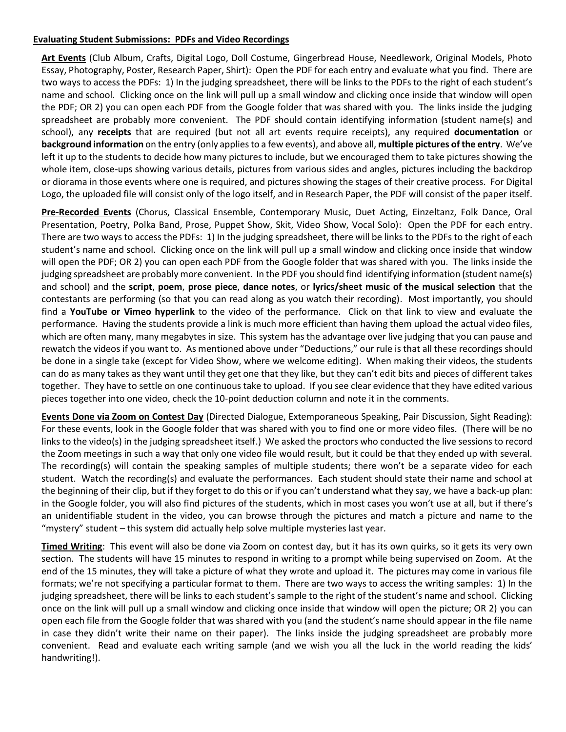#### **Evaluating Student Submissions: PDFs and Video Recordings**

**Art Events** (Club Album, Crafts, Digital Logo, Doll Costume, Gingerbread House, Needlework, Original Models, Photo Essay, Photography, Poster, Research Paper, Shirt): Open the PDF for each entry and evaluate what you find. There are two ways to access the PDFs: 1) In the judging spreadsheet, there will be links to the PDFs to the right of each student's name and school. Clicking once on the link will pull up a small window and clicking once inside that window will open the PDF; OR 2) you can open each PDF from the Google folder that was shared with you. The links inside the judging spreadsheet are probably more convenient. The PDF should contain identifying information (student name(s) and school), any **receipts** that are required (but not all art events require receipts), any required **documentation** or **background information** on the entry (only applies to a few events), and above all, **multiple pictures of the entry**. We've left it up to the students to decide how many pictures to include, but we encouraged them to take pictures showing the whole item, close-ups showing various details, pictures from various sides and angles, pictures including the backdrop or diorama in those events where one is required, and pictures showing the stages of their creative process. For Digital Logo, the uploaded file will consist only of the logo itself, and in Research Paper, the PDF will consist of the paper itself.

**Pre-Recorded Events** (Chorus, Classical Ensemble, Contemporary Music, Duet Acting, Einzeltanz, Folk Dance, Oral Presentation, Poetry, Polka Band, Prose, Puppet Show, Skit, Video Show, Vocal Solo): Open the PDF for each entry. There are two ways to access the PDFs: 1) In the judging spreadsheet, there will be links to the PDFs to the right of each student's name and school. Clicking once on the link will pull up a small window and clicking once inside that window will open the PDF; OR 2) you can open each PDF from the Google folder that was shared with you. The links inside the judging spreadsheet are probably more convenient. In the PDF you should find identifying information (student name(s) and school) and the **script**, **poem**, **prose piece**, **dance notes**, or **lyrics/sheet music of the musical selection** that the contestants are performing (so that you can read along as you watch their recording). Most importantly, you should find a **YouTube or Vimeo hyperlink** to the video of the performance. Click on that link to view and evaluate the performance. Having the students provide a link is much more efficient than having them upload the actual video files, which are often many, many megabytes in size. This system has the advantage over live judging that you can pause and rewatch the videos if you want to. As mentioned above under "Deductions," our rule is that all these recordings should be done in a single take (except for Video Show, where we welcome editing). When making their videos, the students can do as many takes as they want until they get one that they like, but they can't edit bits and pieces of different takes together. They have to settle on one continuous take to upload. If you see clear evidence that they have edited various pieces together into one video, check the 10-point deduction column and note it in the comments.

**Events Done via Zoom on Contest Day** (Directed Dialogue, Extemporaneous Speaking, Pair Discussion, Sight Reading): For these events, look in the Google folder that was shared with you to find one or more video files. (There will be no links to the video(s) in the judging spreadsheet itself.) We asked the proctors who conducted the live sessions to record the Zoom meetings in such a way that only one video file would result, but it could be that they ended up with several. The recording(s) will contain the speaking samples of multiple students; there won't be a separate video for each student. Watch the recording(s) and evaluate the performances. Each student should state their name and school at the beginning of their clip, but if they forget to do this or if you can't understand what they say, we have a back-up plan: in the Google folder, you will also find pictures of the students, which in most cases you won't use at all, but if there's an unidentifiable student in the video, you can browse through the pictures and match a picture and name to the "mystery" student – this system did actually help solve multiple mysteries last year.

**Timed Writing**: This event will also be done via Zoom on contest day, but it has its own quirks, so it gets its very own section. The students will have 15 minutes to respond in writing to a prompt while being supervised on Zoom. At the end of the 15 minutes, they will take a picture of what they wrote and upload it. The pictures may come in various file formats; we're not specifying a particular format to them. There are two ways to access the writing samples: 1) In the judging spreadsheet, there will be links to each student's sample to the right of the student's name and school. Clicking once on the link will pull up a small window and clicking once inside that window will open the picture; OR 2) you can open each file from the Google folder that was shared with you (and the student's name should appear in the file name in case they didn't write their name on their paper). The links inside the judging spreadsheet are probably more convenient. Read and evaluate each writing sample (and we wish you all the luck in the world reading the kids' handwriting!).